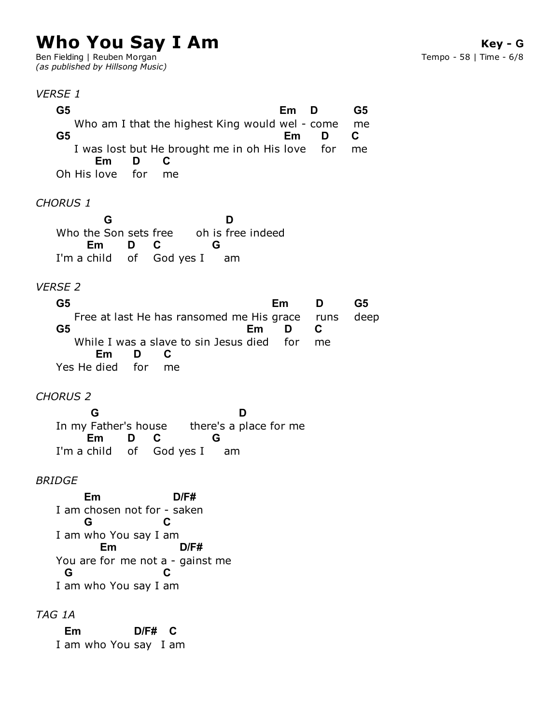# **Who You Say I Am**

Ben Fielding | Reuben Morgan *(as published by Hillsong Music)*

**Key - G** Tempo - 58 | Time - 6/8

#### *VERSE 1*

Who am I that the highest King would wel - come I was lost but He brought me in oh His love Oh His love for *CHORUS 1* Who the Son sets free oh is free indeed I'm a child of God yes I am *VERSE 2* Free at last He has ransomed me His grace While I was a slave to sin Jesus died Yes He died for *CHORUS 2* In my Father's house there's a place for me I'm a child of God yes I am **G5 Em D** me **G5 G5 Em** for **D** me **C Em D** me **C G** oh is free indeed **D** I'm a child **Em** of **D C G G5 Em** runs **D** deep **G5 G5 Em** for **D** me **C Em D** me **C** In my Father's house **G D Em** of **D** God yes I **C G**

#### *BRIDGE*

I am chosen not for - saken I am who You say I am You are for me not a - gainst me I am who You say I am **Em D/F# G C Em D/F# G C**

### *TAG 1A*

I am who You say I am **Em D/F# C**